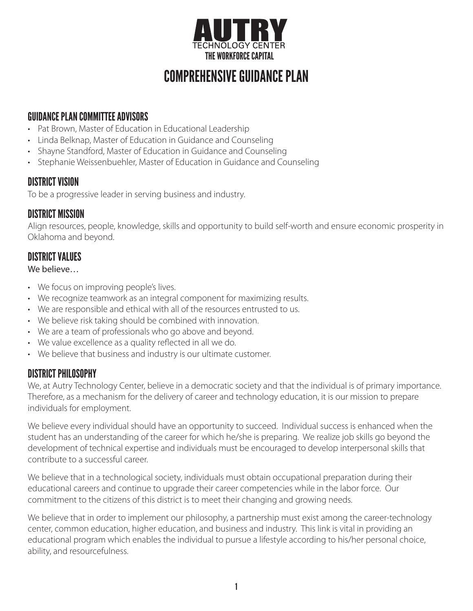

# COMPREHENSIVE GUIDANCE PLAN

# GUIDANCE PLAN COMMITTEE ADVISORS

- Pat Brown, Master of Education in Educational Leadership
- Linda Belknap, Master of Education in Guidance and Counseling
- Shayne Standford, Master of Education in Guidance and Counseling
- Stephanie Weissenbuehler, Master of Education in Guidance and Counseling

# DISTRICT VISION

To be a progressive leader in serving business and industry.

## DISTRICT MISSION

Align resources, people, knowledge, skills and opportunity to build self-worth and ensure economic prosperity in Oklahoma and beyond.

# DISTRICT VALUES

We believe…

- We focus on improving people's lives.
- We recognize teamwork as an integral component for maximizing results.
- We are responsible and ethical with all of the resources entrusted to us.
- We believe risk taking should be combined with innovation.
- We are a team of professionals who go above and beyond.
- We value excellence as a quality reflected in all we do.
- We believe that business and industry is our ultimate customer.

# DISTRICT PHILOSOPHY

We, at Autry Technology Center, believe in a democratic society and that the individual is of primary importance. Therefore, as a mechanism for the delivery of career and technology education, it is our mission to prepare individuals for employment.

We believe every individual should have an opportunity to succeed. Individual success is enhanced when the student has an understanding of the career for which he/she is preparing. We realize job skills go beyond the development of technical expertise and individuals must be encouraged to develop interpersonal skills that contribute to a successful career.

We believe that in a technological society, individuals must obtain occupational preparation during their educational careers and continue to upgrade their career competencies while in the labor force. Our commitment to the citizens of this district is to meet their changing and growing needs.

We believe that in order to implement our philosophy, a partnership must exist among the career-technology center, common education, higher education, and business and industry. This link is vital in providing an educational program which enables the individual to pursue a lifestyle according to his/her personal choice, ability, and resourcefulness.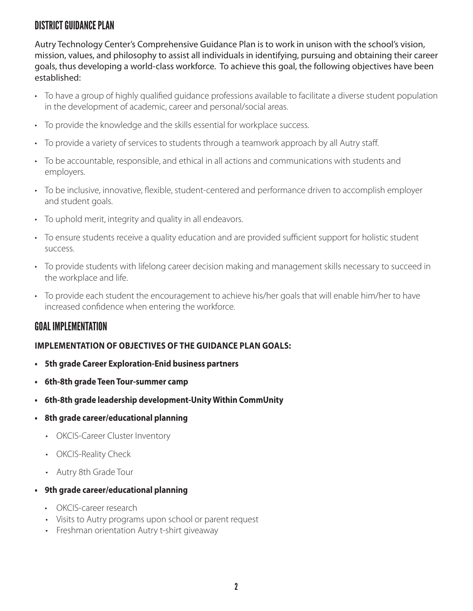# DISTRICT GUIDANCE PLAN

Autry Technology Center's Comprehensive Guidance Plan is to work in unison with the school's vision, mission, values, and philosophy to assist all individuals in identifying, pursuing and obtaining their career goals, thus developing a world-class workforce. To achieve this goal, the following objectives have been established:

- To have a group of highly qualified guidance professions available to facilitate a diverse student population in the development of academic, career and personal/social areas.
- To provide the knowledge and the skills essential for workplace success.
- To provide a variety of services to students through a teamwork approach by all Autry staff.
- To be accountable, responsible, and ethical in all actions and communications with students and employers.
- To be inclusive, innovative, flexible, student-centered and performance driven to accomplish employer and student goals.
- To uphold merit, integrity and quality in all endeavors.
- To ensure students receive a quality education and are provided sufficient support for holistic student success.
- To provide students with lifelong career decision making and management skills necessary to succeed in the workplace and life.
- To provide each student the encouragement to achieve his/her goals that will enable him/her to have increased confidence when entering the workforce.

## GOAL IMPLEMENTATION

#### **IMPLEMENTATION OF OBJECTIVES OF THE GUIDANCE PLAN GOALS:**

- **• 5th grade Career Exploration-Enid business partners**
- **• 6th-8th grade Teen Tour-summer camp**
- **• 6th-8th grade leadership development-Unity Within CommUnity**
- **• 8th grade career/educational planning**
	- OKCIS-Career Cluster Inventory
	- OKCIS-Reality Check
	- Autry 8th Grade Tour
- **• 9th grade career/educational planning**
	- OKCIS-career research
	- Visits to Autry programs upon school or parent request
	- Freshman orientation Autry t-shirt giveaway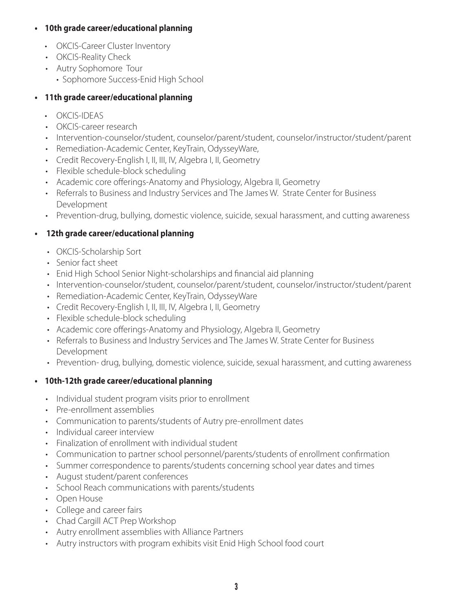#### **• 10th grade career/educational planning**

- OKCIS-Career Cluster Inventory
- OKCIS-Reality Check
- Autry Sophomore Tour
	- Sophomore Success-Enid High School

### **• 11th grade career/educational planning**

- OKCIS-IDEAS
- OKCIS-career research
- Intervention-counselor/student, counselor/parent/student, counselor/instructor/student/parent
- Remediation-Academic Center, KeyTrain, OdysseyWare,
- Credit Recovery-English I, II, III, IV, Algebra I, II, Geometry
- Flexible schedule-block scheduling
- Academic core offerings-Anatomy and Physiology, Algebra II, Geometry
- Referrals to Business and Industry Services and The James W. Strate Center for Business Development
- Prevention-drug, bullying, domestic violence, suicide, sexual harassment, and cutting awareness

### **• 12th grade career/educational planning**

- OKCIS-Scholarship Sort
- Senior fact sheet
- Enid High School Senior Night-scholarships and financial aid planning
- Intervention-counselor/student, counselor/parent/student, counselor/instructor/student/parent
- Remediation-Academic Center, KeyTrain, OdysseyWare
- Credit Recovery-English I, II, III, IV, Algebra I, II, Geometry
- Flexible schedule-block scheduling
- Academic core offerings-Anatomy and Physiology, Algebra II, Geometry
- Referrals to Business and Industry Services and The James W. Strate Center for Business Development
- Prevention- drug, bullying, domestic violence, suicide, sexual harassment, and cutting awareness

### **• 10th-12th grade career/educational planning**

- Individual student program visits prior to enrollment
- Pre-enrollment assemblies
- Communication to parents/students of Autry pre-enrollment dates
- Individual career interview
- Finalization of enrollment with individual student
- Communication to partner school personnel/parents/students of enrollment confirmation
- Summer correspondence to parents/students concerning school year dates and times
- August student/parent conferences
- School Reach communications with parents/students
- Open House
- College and career fairs
- Chad Cargill ACT Prep Workshop
- Autry enrollment assemblies with Alliance Partners
- Autry instructors with program exhibits visit Enid High School food court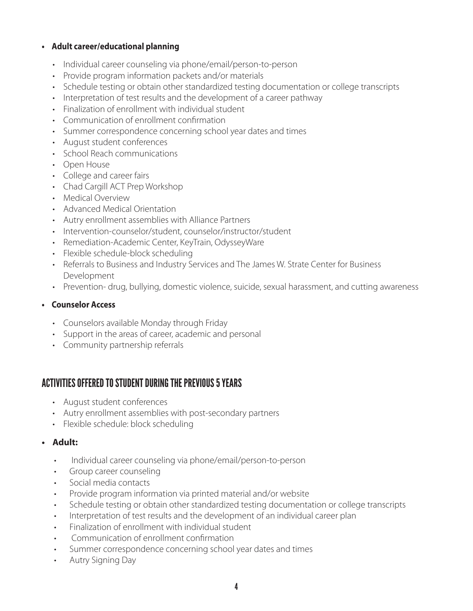#### **• Adult career/educational planning**

- Individual career counseling via phone/email/person-to-person
- Provide program information packets and/or materials
- Schedule testing or obtain other standardized testing documentation or college transcripts
- Interpretation of test results and the development of a career pathway
- Finalization of enrollment with individual student
- Communication of enrollment confirmation
- Summer correspondence concerning school year dates and times
- August student conferences
- School Reach communications
- Open House
- College and career fairs
- Chad Cargill ACT Prep Workshop
- Medical Overview
- Advanced Medical Orientation
- Autry enrollment assemblies with Alliance Partners
- Intervention-counselor/student, counselor/instructor/student
- Remediation-Academic Center, KeyTrain, OdysseyWare
- Flexible schedule-block scheduling
- Referrals to Business and Industry Services and The James W. Strate Center for Business Development
- Prevention- drug, bullying, domestic violence, suicide, sexual harassment, and cutting awareness

#### **• Counselor Access**

- Counselors available Monday through Friday
- Support in the areas of career, academic and personal
- Community partnership referrals

## ACTIVITIES OFFERED TO STUDENT DURING THE PREVIOUS 5 YEARS

- August student conferences
- Autry enrollment assemblies with post-secondary partners
- Flexible schedule: block scheduling

#### **• Adult:**

- Individual career counseling via phone/email/person-to-person
- Group career counseling
- Social media contacts
- Provide program information via printed material and/or website
- Schedule testing or obtain other standardized testing documentation or college transcripts
- Interpretation of test results and the development of an individual career plan
- Finalization of enrollment with individual student
- Communication of enrollment confirmation
- Summer correspondence concerning school year dates and times
- Autry Signing Day